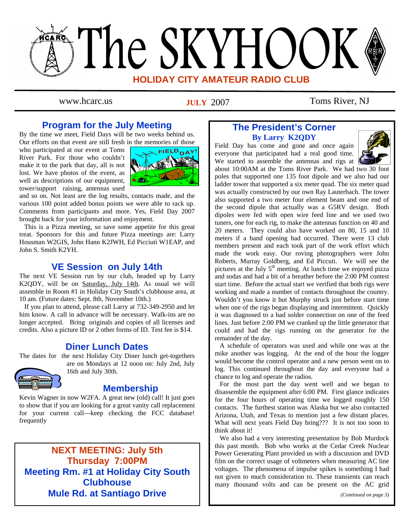# The SKYHOOK **HOLIDAY CITY AMATEUR RADIO CLUB**

**JULY** 2007

www.hcarc.us **IIII.V** 2007 Toms River, NJ

## **Program for the July Meeting**

By the time we meet, Field Days will be two weeks behind us. Our efforts on that event are still fresh in the memories of those

who participated at our event at Toms River Park. For those who couldn't make it to the park that day, all is not lost. We have photos of the event, as well as descriptions of our equipment, tower/support raising, antennas used



and so on. Not least are the log results, contacts made, and the various 100 point added bonus points we were able to rack up. Comments from participants and more. Yes, Field Day 2007 brought back for your information and enjoyment.

 This is a Pizza meeting, so save some appetite for this great treat. Sponsors for this and future Pizza meetings are: Larry Housman W2GIS, John Hann K2JWH, Ed Picciuti W1EAP, and John S. Smith K2YH.

## **VE Session on July 14th**

The next VE Session run by our club, headed up by Larry K2QDY, will be on Saturday, July 14th. As usual we will assemble in Room #1 in Holiday City South's clubhouse area, at 10 am. (Future dates: Sept. 8th, November 10th.)

 If you plan to attend, please call Larry at 732-349-2950 and let him know. A call in advance will be necessary. Walk-ins are no longer accepted. Bring originals and copies of all licenses and credits. Also a picture ID or 2 other forms of ID. Test fee is \$14.

## **Diner Lunch Dates**

The dates for the next Holiday City Diner lunch get-togethers

are on Mondays at 12 noon on: July 2nd, July 16th and July 30th.

## **Membership**

Kevin Wagner in now W2FA. A great new (old) call! It just goes to show that if you are looking for a great vanity call replacement for your current call—keep checking the FCC database! frequently

**NEXT MEETING: July 5th Thursday 7:00PM Meeting Rm. #1 at Holiday City South Clubhouse Mule Rd. at Santiago Drive** 

## **The President's Corner By Larry K2QDY**

Field Day has come and gone and once again everyone that participated had a real good time. We started to assemble the antennas and rigs at 1



about 10:00AM at the Toms River Park. We had two 30 foot poles that supported one 135 foot dipole and we also had our ladder tower that supported a six meter quad. The six meter quad was actually constructed by our own Ray Lauterbach. The tower also supported a two meter four element beam and one end of the second dipole that actually was a G5RV design. Both dipoles were fed with open wire feed line and we used two tuners, one for each rig, to make the antennas function on 40 and 20 meters. They could also have worked on 80, 15 and 10 meters if a band opening had occurred. There were 13 club members present and each took part of the work effort which made the work easy. Our roving photographers were John Roberts, Murray Goldberg, and Ed Piccuti. We will see the pictures at the July  $5<sup>th</sup>$  meeting. At lunch time we enjoyed pizza and sodas and had a bit of a breather before the 2:00 PM contest start time. Before the actual start we verified that both rigs were working and made a number of contacts throughout the country. Wouldn't you know it but Murphy struck just before start time when one of the rigs began displaying and intermittent. Quickly it was diagnosed to a bad solder connection on one of the feed lines. Just before 2:00 PM we cranked up the little generator that could and had the rigs running on the generator for the remainder of the day.

 A schedule of operators was used and while one was at the mike another was logging. At the end of the hour the logger would become the control operator and a new person went on to log. This continued throughout the day and everyone had a chance to log and operate the radios.

 For the most part the day went well and we began to disassemble the equipment after 6:00 PM. First glance indicates for the four hours of operating time we logged roughly 150 contacts. The furthest station was Alaska but we also contacted Arizona, Utah, and Texas to mention just a few distant places. What will next years Field Day bring??? It is not too soon to think about it!

 We also had a very interesting presentation by Bob Murdock this past month. Bob who works at the Cedar Creek Nuclear Power Generating Plant provided us with a discussion and DVD film on the correct usage of voltmeters when measuring AC line voltages. The phenomena of impulse spikes is something I had not given to much consideration to. These transients can reach many thousand volts and can be present on the AC grid

*(Continued on page 3)*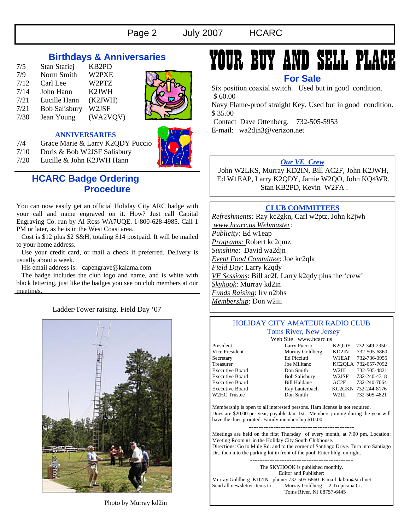## **Birthdays & Anniversaries**

| 7/5  | Stan Stafiej         | KB2PD              |
|------|----------------------|--------------------|
| 7/9  | Norm Smith           | W2PXE              |
| 7/12 | Carl Lee             | W2PTZ              |
| 7/14 | John Hann            | K <sub>2</sub> JWH |
| 7/21 | Lucille Hann         | (K2JWH)            |
| 7/21 | <b>Bob Salisbury</b> | W2JSF              |
| 7/30 | Jean Young           | (WA2VQV)           |



#### **ANNIVERSARIES**

- 7/4 Grace Marie & Larry K2QDY Puccio
- 7/10 Doris & Bob W2JSF Salisbury

7/20 Lucille & John K2JWH Hann



## **HCARC Badge Ordering Procedure**

You can now easily get an official Holiday City ARC badge with your call and name engraved on it. How? Just call Capital Engraving Co. run by Al Ross WA7UQE. 1-800-628-4985. Call 1 PM or later, as he is in the West Coast area.

 Cost is \$12 plus \$2 S&H, totaling \$14 postpaid. It will be mailed to your home address.

 Use your credit card, or mail a check if preferred. Delivery is usually about a week.

His email address is: capengrave@kalama.com

 The badge includes the club logo and name, and is white with black lettering, just like the badges you see on club members at our meetings.

Ladder/Tower raising. Field Day '07



## YOUR BUY AND SELL PLA

**For Sale** 

Six position coaxial switch. Used but in good condition. \$ 60.00

Navy Flame-proof straight Key. Used but in good condition. \$ 35.00

 Contact Dave Ottenberg. 732-505-5953 E-mail: wa2djn3@verizon.net

#### *Our VE Crew*

 John W2LKS, Murray KD2IN, Bill AC2F, John K2JWH, Ed W1EAP, Larry K2QDY, Jamie W2QO, John KQ4WR, Stan KB2PD, Kevin W2FA .

### **CLUB COMMITTEES**

*Refreshments:* Ray kc2gkn, Carl w2ptz, John k2jwh  *www.hcarc.us Webmaster*: *Publicity:* Ed w1eap *Programs:* Robert kc2qmz *Sunshine*: David wa2djn *Event Food Committee*: Joe kc2qla *Field Day*: Larry k2qdy *VE Sessions*: Bill ac2f, Larry k2qdy plus the 'crew' *Skyhook*: Murray kd2in *Funds Raising*: Irv n2bhs *Membership*: Don w2iii

#### HOLIDAY CITY AMATEUR RADIO CLUB Toms River, New Jersey

Web Site www.hcarc.us President Larry Puccio K2QDY 732-349-2950 Vice President Murray Goldberg KD2IN 732-505-6860 Secretary Ed Picciuti W1EAP 732-736-0955 Treasurer Joe Militano KC2QLA 732-657-7092 Executive Board Don Smith W2III 732-505-4821 Executive Board Bob Salisbury W2JSF 732-240-4318 Executive Board Bill Haldane AC2F 732-240-7064 Executive Board Ray Lauterbach KC2GKN 732-244-8176<br>W2HC Trustee Don Smith W2III 732-505-4821

732-505-4821

Membership is open to all interested persons. Ham license is not required. Dues are \$20.00 per year, payable Jan. 1st . Members joining during the year will have the dues prorated. Family membership \$10.00

Meetings are held on the first Thursday of every month, at 7:00 pm. Location: Meeting Room #1 in the Holiday City South Clubhouse. Directions: Go to Mule Rd. and to the corner of Santiago Drive. Turn into Santiago Dr., then into the parking lot in front of the pool. Enter bldg. on right.

The SKYHOOK is published monthly. Editor and Publisher: Murray Goldberg KD2IN phone: 732-505-6860 E-mail kd2in@arrl.net<br>Send all newsletter items to: Murray Goldberg 2 Tropicana Ct. Murray Goldberg 2 Tropicana Ct. Toms River, NJ 08757-6445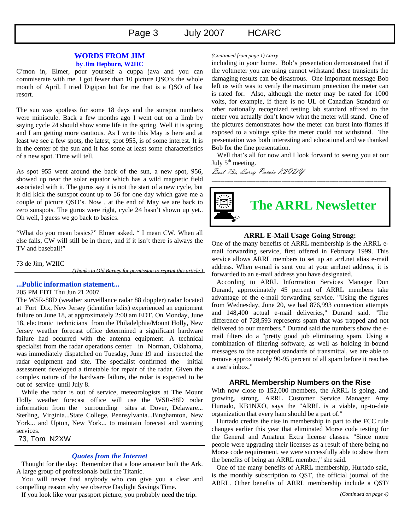## Page 3 July 2007 HCARC

#### **WORDS FROM JIM**

#### **by Jim Hepburn, W2IIC**

C'mon in, Elmer, pour yourself a cuppa java and you can commiserate with me. I got fewer than 10 picture QSO's the whole month of April. I tried Digipan but for me that is a QSO of last resort.

The sun was spotless for some 18 days and the sunspot numbers were miniscule. Back a few months ago I went out on a limb by saying cycle 24 should show some life in the spring. Well it is spring and I am getting more cautious. As I write this May is here and at least we see a few spots, the latest, spot 955, is of some interest. It is in the center of the sun and it has some at least some characteristics of a new spot. Time will tell.

As spot 955 went around the back of the sun, a new spot, 956, showed up near the solar equator which has a wild magnetic field associated with it. The gurus say it is not the start of a new cycle, but it did kick the sunspot count up to 56 for one day which gave me a couple of picture QSO's. Now , at the end of May we are back to zero sunspots. The gurus were right, cycle 24 hasn't shown up yet.. Oh well, I guess we go back to basics.

"What do you mean basics?" Elmer asked. " I mean CW. When all else fails, CW will still be in there, and if it isn't there is always the TV and baseball!"

73 de Jim, W2IIC

*(Thanks to Old Barney for permission to reprint this article.)* 

#### **...Public information statement...**

#### 205 PM EDT Thu Jun 21 2007

The WSR-88D (weather surveillance radar 88 doppler) radar located at Fort Dix, New Jersey (identifier kdix) experienced an equipment failure on June 18, at approximately 2:00 am EDT. On Monday, June 18, electronic technicians from the Philadelphia/Mount Holly, New Jersey weather forecast office determined a significant hardware failure had occurred with the antenna equipment. A technical specialist from the radar operations center in Norman, Oklahoma, was immediately dispatched on Tuesday, June 19 and inspected the radar equipment and site. The specialist confirmed the initial assessment developed a timetable for repair of the radar. Given the complex nature of the hardware failure, the radar is expected to be out of service until July 8.

 While the radar is out of service, meteorologists at The Mount Holly weather forecast office will use the WSR-88D radar information from the surrounding sites at Dover, Delaware... Sterling, Virginia...State College, Pennsylvania...Binghamton, New York... and Upton, New York... to maintain forecast and warning services.

73, Tom N2XW

<u>—</u>

#### *Quotes from the Internet*

 Thought for the day: Remember that a lone amateur built the Ark. A large group of professionals built the Titanic.

 You will never find anybody who can give you a clear and compelling reason why we observe Daylight Savings Time.

If you look like your passport picture, you probably need the trip.

#### *(Continued from page 1) Larry*

including in your home. Bob's presentation demonstrated that if the voltmeter you are using cannot withstand these transients the damaging results can be disastrous. One important message Bob left us with was to verify the maximum protection the meter can is rated for. Also, although the meter may be rated for 1000 volts, for example, if there is no UL of Canadian Standard or other nationally recognized testing lab standard affixed to the meter you actually don't know what the meter will stand. One of the pictures demonstrates how the meter can burst into flames if exposed to a voltage spike the meter could not withstand. The presentation was both interesting and educational and we thanked Bob for the fine presentation.

Well that's all for now and I look forward to seeing you at our July  $5<sup>th</sup>$  meeting.

Best 73s, Larry Puccio K2QDY



#### **ARRL E-Mail Usage Going Strong:**

One of the many benefits of ARRL membership is the ARRL email forwarding service, first offered in February 1999. This service allows ARRL members to set up an arrl.net alias e-mail address. When e-mail is sent you at your arrl.net address, it is forwarded to an e-mail address you have designated.

 According to ARRL Information Services Manager Don Durand, approximately 45 percent of ARRL members take advantage of the e-mail forwarding service. "Using the figures from Wednesday, June 20, we had 876,993 connection attempts and 148,400 actual e-mail deliveries," Durand said. "The difference of 728,593 represents spam that was trapped and not delivered to our members." Durand said the numbers show the email filters do a "pretty good job eliminating spam. Using a combination of filtering software, as well as holding in-bound messages to the accepted standards of transmittal, we are able to remove approximately 90-95 percent of all spam before it reaches a user's inbox."

#### **ARRL Membership Numbers on the Rise**

With now close to 152,000 members, the ARRL is going, and growing, strong. ARRL Customer Service Manager Amy Hurtado, KB1NXO, says the "ARRL is a viable, up-to-date organization that every ham should be a part of."

 Hurtado credits the rise in membership in part to the FCC rule changes earlier this year that eliminated Morse code testing for the General and Amateur Extra license classes. "Since more people were upgrading their licenses as a result of there being no Morse code requirement, we were successfully able to show them the benefits of being an ARRL member," she said.

 One of the many benefits of ARRL membership, Hurtado said, is the monthly subscription to QST, the official journal of the ARRL. Other benefits of ARRL membership include a QST/